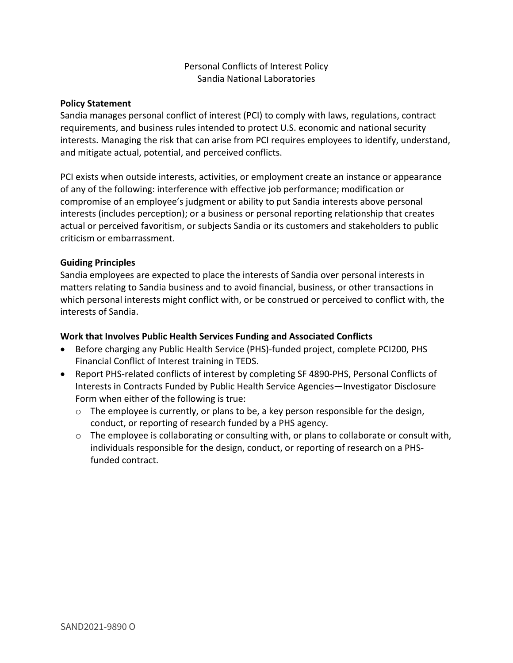#### Personal Conflicts of Interest Policy Sandia National Laboratories

#### **Policy Statement**

Sandia manages personal conflict of interest (PCI) to comply with laws, regulations, contract requirements, and business rules intended to protect U.S. economic and national security interests. Managing the risk that can arise from PCI requires employees to identify, understand, and mitigate actual, potential, and perceived conflicts.

PCI exists when outside interests, activities, or employment create an instance or appearance of any of the following: interference with effective job performance; modification or compromise of an employee's judgment or ability to put Sandia interests above personal interests (includes perception); or a business or personal reporting relationship that creates actual or perceived favoritism, or subjects Sandia or its customers and stakeholders to public criticism or embarrassment.

#### **Guiding Principles**

Sandia employees are expected to place the interests of Sandia over personal interests in matters relating to Sandia business and to avoid financial, business, or other transactions in which personal interests might conflict with, or be construed or perceived to conflict with, the interests of Sandia.

#### **Work that Involves Public Health Services Funding and Associated Conflicts**

- Before charging any Public Health Service (PHS)-funded project, complete PCI200, PHS Financial Conflict of Interest training in TEDS.
- Report PHS-related conflicts of interest by completing SF 4890-PHS, Personal Conflicts of Interests in Contracts Funded by Public Health Service Agencies—Investigator Disclosure Form when either of the following is true:
	- o The employee is currently, or plans to be, a key person responsible for the design, conduct, or reporting of research funded by a PHS agency.
	- $\circ$  The employee is collaborating or consulting with, or plans to collaborate or consult with, individuals responsible for the design, conduct, or reporting of research on a PHSfunded contract.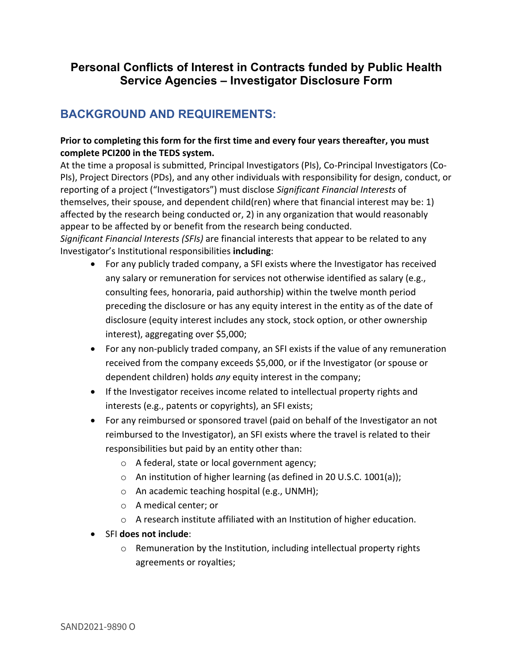# **Personal Conflicts of Interest in Contracts funded by Public Health Service Agencies – Investigator Disclosure Form**

# **BACKGROUND AND REQUIREMENTS:**

#### **Prior to completing this form for the first time and every four years thereafter, you must complete PCI200 in the TEDS system.**

At the time a proposal is submitted, Principal Investigators (PIs), Co-Principal Investigators (Co-PIs), Project Directors (PDs), and any other individuals with responsibility for design, conduct, or reporting of a project ("Investigators") must disclose *Significant Financial Interests* of themselves, their spouse, and dependent child(ren) where that financial interest may be: 1) affected by the research being conducted or, 2) in any organization that would reasonably appear to be affected by or benefit from the research being conducted.

*Significant Financial Interests (SFIs)* are financial interests that appear to be related to any Investigator's Institutional responsibilities **including**:

- For any publicly traded company, a SFI exists where the Investigator has received any salary or remuneration for services not otherwise identified as salary (e.g., consulting fees, honoraria, paid authorship) within the twelve month period preceding the disclosure or has any equity interest in the entity as of the date of disclosure (equity interest includes any stock, stock option, or other ownership interest), aggregating over \$5,000;
- For any non-publicly traded company, an SFI exists if the value of any remuneration received from the company exceeds \$5,000, or if the Investigator (or spouse or dependent children) holds *any* equity interest in the company;
- If the Investigator receives income related to intellectual property rights and interests (e.g., patents or copyrights), an SFI exists;
- For any reimbursed or sponsored travel (paid on behalf of the Investigator an not reimbursed to the Investigator), an SFI exists where the travel is related to their responsibilities but paid by an entity other than:
	- o A federal, state or local government agency;
	- o An institution of higher learning (as defined in 20 U.S.C. 1001(a));
	- o An academic teaching hospital (e.g., UNMH);
	- o A medical center; or
	- o A research institute affiliated with an Institution of higher education.
- SFI **does not include**:
	- o Remuneration by the Institution, including intellectual property rights agreements or royalties;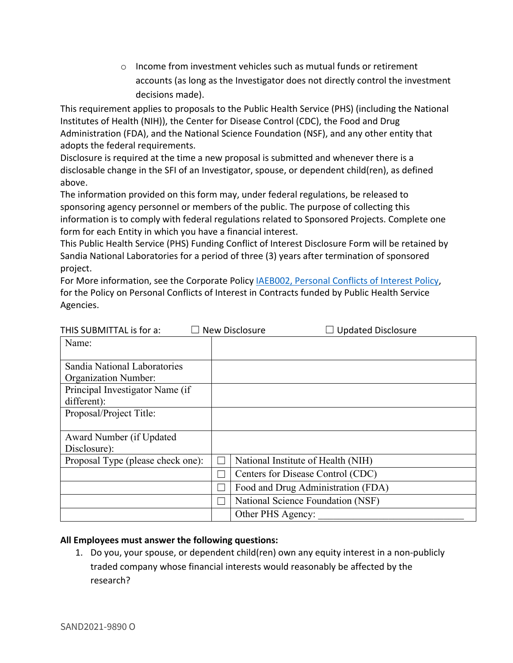$\circ$  Income from investment vehicles such as mutual funds or retirement accounts (as long as the Investigator does not directly control the investment decisions made).

This requirement applies to proposals to the Public Health Service (PHS) (including the National Institutes of Health (NIH)), the Center for Disease Control (CDC), the Food and Drug Administration (FDA), and the National Science Foundation (NSF), and any other entity that adopts the federal requirements.

Disclosure is required at the time a new proposal is submitted and whenever there is a disclosable change in the SFI of an Investigator, spouse, or dependent child(ren), as defined above.

The information provided on this form may, under federal regulations, be released to sponsoring agency personnel or members of the public. The purpose of collecting this information is to comply with federal regulations related to Sponsored Projects. Complete one form for each Entity in which you have a financial interest.

This Public Health Service (PHS) Funding Conflict of Interest Disclosure Form will be retained by Sandia National Laboratories for a period of three (3) years after termination of sponsored project.

For More information, see the Corporate Policy *IAEB002*, Personal Conflicts of Interest Policy, for the Policy on Personal Conflicts of Interest in Contracts funded by Public Health Service Agencies.

| THIS SUBMITTAL is for a:          | $\Box$ Updated Disclosure<br>New Disclosure |
|-----------------------------------|---------------------------------------------|
| Name:                             |                                             |
|                                   |                                             |
| Sandia National Laboratories      |                                             |
| <b>Organization Number:</b>       |                                             |
| Principal Investigator Name (if   |                                             |
| different):                       |                                             |
| Proposal/Project Title:           |                                             |
|                                   |                                             |
| Award Number (if Updated          |                                             |
| Disclosure):                      |                                             |
| Proposal Type (please check one): | National Institute of Health (NIH)          |
|                                   | Centers for Disease Control (CDC)           |
|                                   | Food and Drug Administration (FDA)          |
|                                   | National Science Foundation (NSF)           |
|                                   | Other PHS Agency:                           |

#### **All Employees must answer the following questions:**

1. Do you, your spouse, or dependent child(ren) own any equity interest in a non-publicly traded company whose financial interests would reasonably be affected by the research?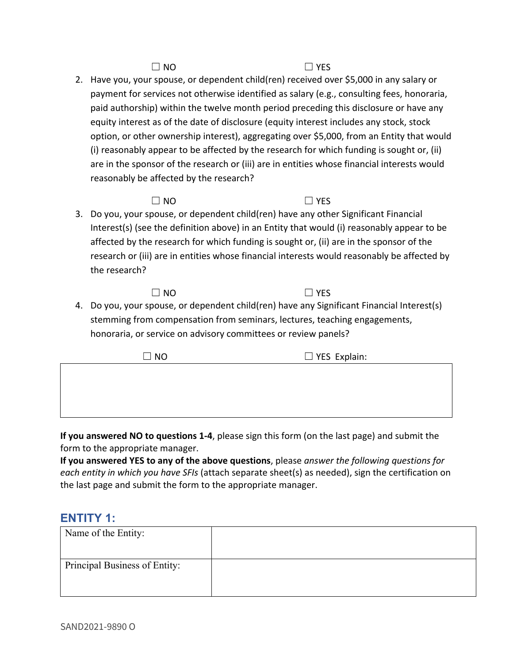$\Box$  NO  $\Box$  YES

2. Have you, your spouse, or dependent child(ren) received over \$5,000 in any salary or payment for services not otherwise identified as salary (e.g., consulting fees, honoraria, paid authorship) within the twelve month period preceding this disclosure or have any equity interest as of the date of disclosure (equity interest includes any stock, stock option, or other ownership interest), aggregating over \$5,000, from an Entity that would (i) reasonably appear to be affected by the research for which funding is sought or, (ii) are in the sponsor of the research or (iii) are in entities whose financial interests would reasonably be affected by the research?

### $\Box$  NO  $\Box$  YES

3. Do you, your spouse, or dependent child(ren) have any other Significant Financial Interest(s) (see the definition above) in an Entity that would (i) reasonably appear to be affected by the research for which funding is sought or, (ii) are in the sponsor of the research or (iii) are in entities whose financial interests would reasonably be affected by the research?

 $\Box$  NO  $\Box$  YES

4. Do you, your spouse, or dependent child(ren) have any Significant Financial Interest(s) stemming from compensation from seminars, lectures, teaching engagements, honoraria, or service on advisory committees or review panels?

**If you answered NO to questions 1-4**, please sign this form (on the last page) and submit the form to the appropriate manager.

**If you answered YES to any of the above questions**, please *answer the following questions for each entity in which you have SFIs* (attach separate sheet(s) as needed), sign the certification on the last page and submit the form to the appropriate manager.

# **ENTITY 1:**

| Name of the Entity:           |  |
|-------------------------------|--|
| Principal Business of Entity: |  |

 $\Box$  NO  $\Box$  YES Explain: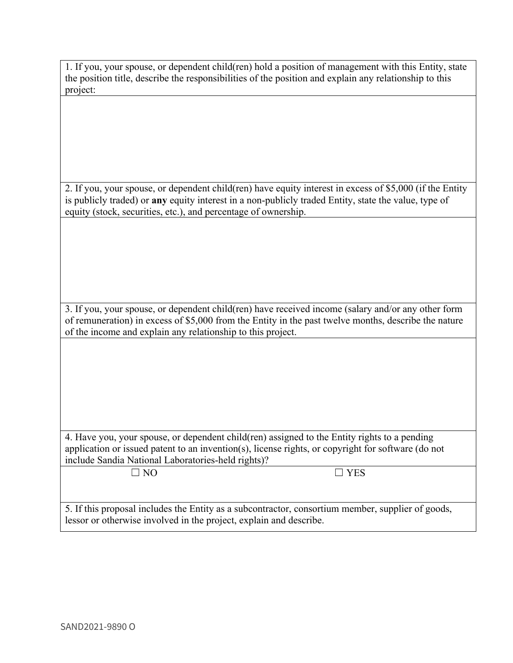| 1. If you, your spouse, or dependent child(ren) hold a position of management with this Entity, state  |
|--------------------------------------------------------------------------------------------------------|
| the position title, describe the responsibilities of the position and explain any relationship to this |
| project:                                                                                               |

2. If you, your spouse, or dependent child(ren) have equity interest in excess of \$5,000 (if the Entity is publicly traded) or **any** equity interest in a non-publicly traded Entity, state the value, type of equity (stock, securities, etc.), and percentage of ownership.

3. If you, your spouse, or dependent child(ren) have received income (salary and/or any other form of remuneration) in excess of \$5,000 from the Entity in the past twelve months, describe the nature of the income and explain any relationship to this project.

4. Have you, your spouse, or dependent child(ren) assigned to the Entity rights to a pending application or issued patent to an invention(s), license rights, or copyright for software (do not include Sandia National Laboratories-held rights)?

 $\Box$  NO  $\Box$  YES

5. If this proposal includes the Entity as a subcontractor, consortium member, supplier of goods, lessor or otherwise involved in the project, explain and describe.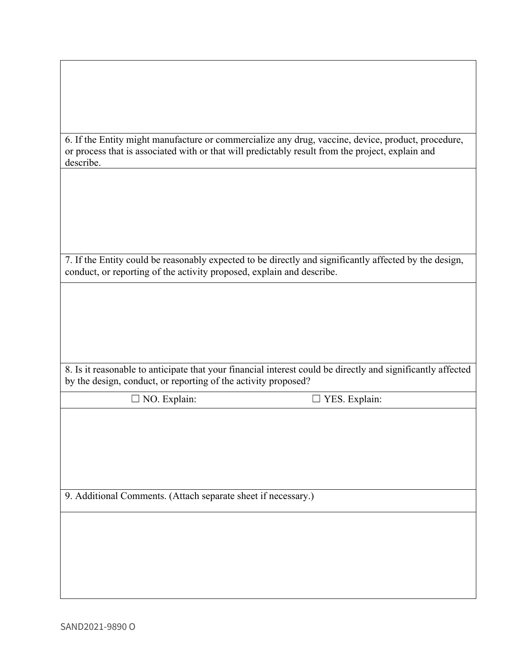| or process that is associated with or that will predictably result from the project, explain and<br>describe.                                                                   | 6. If the Entity might manufacture or commercialize any drug, vaccine, device, product, procedure,          |  |
|---------------------------------------------------------------------------------------------------------------------------------------------------------------------------------|-------------------------------------------------------------------------------------------------------------|--|
|                                                                                                                                                                                 |                                                                                                             |  |
|                                                                                                                                                                                 |                                                                                                             |  |
|                                                                                                                                                                                 |                                                                                                             |  |
| 7. If the Entity could be reasonably expected to be directly and significantly affected by the design,<br>conduct, or reporting of the activity proposed, explain and describe. |                                                                                                             |  |
|                                                                                                                                                                                 |                                                                                                             |  |
|                                                                                                                                                                                 |                                                                                                             |  |
|                                                                                                                                                                                 |                                                                                                             |  |
|                                                                                                                                                                                 |                                                                                                             |  |
| by the design, conduct, or reporting of the activity proposed?                                                                                                                  | 8. Is it reasonable to anticipate that your financial interest could be directly and significantly affected |  |
| $\Box$ NO. Explain:                                                                                                                                                             | $\Box$ YES. Explain:                                                                                        |  |
|                                                                                                                                                                                 |                                                                                                             |  |
|                                                                                                                                                                                 |                                                                                                             |  |
|                                                                                                                                                                                 |                                                                                                             |  |
| 9. Additional Comments. (Attach separate sheet if necessary.)                                                                                                                   |                                                                                                             |  |
|                                                                                                                                                                                 |                                                                                                             |  |
|                                                                                                                                                                                 |                                                                                                             |  |
|                                                                                                                                                                                 |                                                                                                             |  |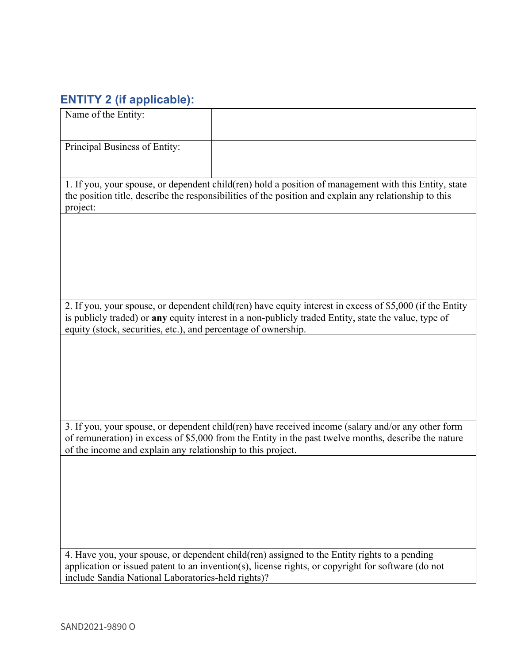# **ENTITY 2 (if applicable):**

| Name of the Entity:                                                                                                                                                                                                         |                                                                                                                                                                                                    |  |
|-----------------------------------------------------------------------------------------------------------------------------------------------------------------------------------------------------------------------------|----------------------------------------------------------------------------------------------------------------------------------------------------------------------------------------------------|--|
| Principal Business of Entity:                                                                                                                                                                                               |                                                                                                                                                                                                    |  |
| 1. If you, your spouse, or dependent child(ren) hold a position of management with this Entity, state<br>the position title, describe the responsibilities of the position and explain any relationship to this<br>project: |                                                                                                                                                                                                    |  |
|                                                                                                                                                                                                                             |                                                                                                                                                                                                    |  |
|                                                                                                                                                                                                                             |                                                                                                                                                                                                    |  |
|                                                                                                                                                                                                                             | 2. If you, your spouse, or dependent child(ren) have equity interest in excess of \$5,000 (if the Entity                                                                                           |  |
| equity (stock, securities, etc.), and percentage of ownership.                                                                                                                                                              | is publicly traded) or any equity interest in a non-publicly traded Entity, state the value, type of                                                                                               |  |
|                                                                                                                                                                                                                             |                                                                                                                                                                                                    |  |
|                                                                                                                                                                                                                             |                                                                                                                                                                                                    |  |
|                                                                                                                                                                                                                             | 3. If you, your spouse, or dependent child(ren) have received income (salary and/or any other form                                                                                                 |  |
| of the income and explain any relationship to this project.                                                                                                                                                                 | of remuneration) in excess of \$5,000 from the Entity in the past twelve months, describe the nature                                                                                               |  |
|                                                                                                                                                                                                                             |                                                                                                                                                                                                    |  |
|                                                                                                                                                                                                                             |                                                                                                                                                                                                    |  |
|                                                                                                                                                                                                                             |                                                                                                                                                                                                    |  |
| include Sandia National Laboratories-held rights)?                                                                                                                                                                          | 4. Have you, your spouse, or dependent child(ren) assigned to the Entity rights to a pending<br>application or issued patent to an invention(s), license rights, or copyright for software (do not |  |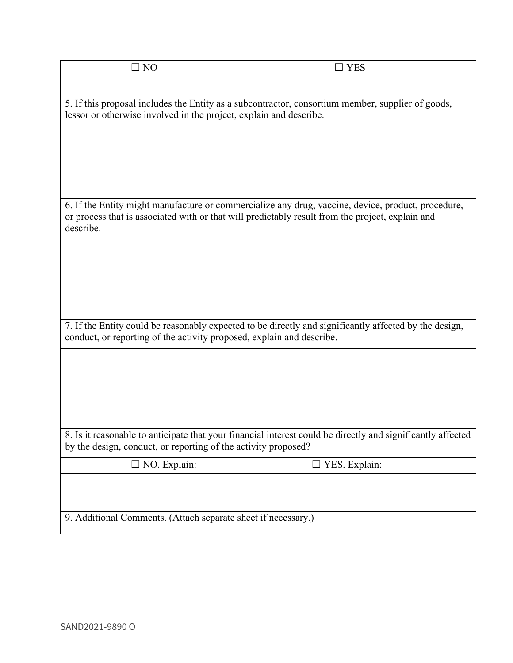5. If this proposal includes the Entity as a subcontractor, consortium member, supplier of goods, lessor or otherwise involved in the project, explain and describe.

6. If the Entity might manufacture or commercialize any drug, vaccine, device, product, procedure, or process that is associated with or that will predictably result from the project, explain and describe.

7. If the Entity could be reasonably expected to be directly and significantly affected by the design, conduct, or reporting of the activity proposed, explain and describe.

8. Is it reasonable to anticipate that your financial interest could be directly and significantly affected by the design, conduct, or reporting of the activity proposed?

☐ NO. Explain: ☐ YES. Explain:

9. Additional Comments. (Attach separate sheet if necessary.)